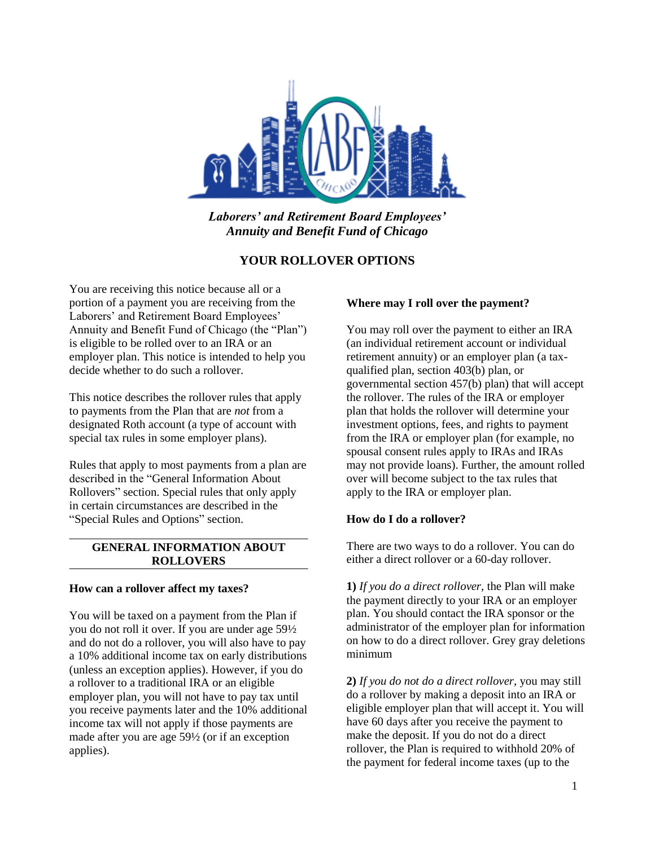

*Laborers' and Retirement Board Employees' Annuity and Benefit Fund of Chicago*

# **YOUR ROLLOVER OPTIONS**

You are receiving this notice because all or a portion of a payment you are receiving from the Laborers' and Retirement Board Employees' Annuity and Benefit Fund of Chicago (the "Plan") is eligible to be rolled over to an IRA or an employer plan. This notice is intended to help you decide whether to do such a rollover.

This notice describes the rollover rules that apply to payments from the Plan that are *not* from a designated Roth account (a type of account with special tax rules in some employer plans).

Rules that apply to most payments from a plan are described in the "General Information About Rollovers" section. Special rules that only apply in certain circumstances are described in the "Special Rules and Options" section.

## **GENERAL INFORMATION ABOUT ROLLOVERS**

### **How can a rollover affect my taxes?**

You will be taxed on a payment from the Plan if you do not roll it over. If you are under age 59½ and do not do a rollover, you will also have to pay a 10% additional income tax on early distributions (unless an exception applies). However, if you do a rollover to a traditional IRA or an eligible employer plan, you will not have to pay tax until you receive payments later and the 10% additional income tax will not apply if those payments are made after you are age 59½ (or if an exception applies).

### **Where may I roll over the payment?**

You may roll over the payment to either an IRA (an individual retirement account or individual retirement annuity) or an employer plan (a taxqualified plan, section 403(b) plan, or governmental section 457(b) plan) that will accept the rollover. The rules of the IRA or employer plan that holds the rollover will determine your investment options, fees, and rights to payment from the IRA or employer plan (for example, no spousal consent rules apply to IRAs and IRAs may not provide loans). Further, the amount rolled over will become subject to the tax rules that apply to the IRA or employer plan.

### **How do I do a rollover?**

There are two ways to do a rollover. You can do either a direct rollover or a 60-day rollover.

**1)** *If you do a direct rollover*, the Plan will make the payment directly to your IRA or an employer plan. You should contact the IRA sponsor or the administrator of the employer plan for information on how to do a direct rollover. Grey gray deletions minimum

**2)** *If you do not do a direct rollover*, you may still do a rollover by making a deposit into an IRA or eligible employer plan that will accept it. You will have 60 days after you receive the payment to make the deposit. If you do not do a direct rollover, the Plan is required to withhold 20% of the payment for federal income taxes (up to the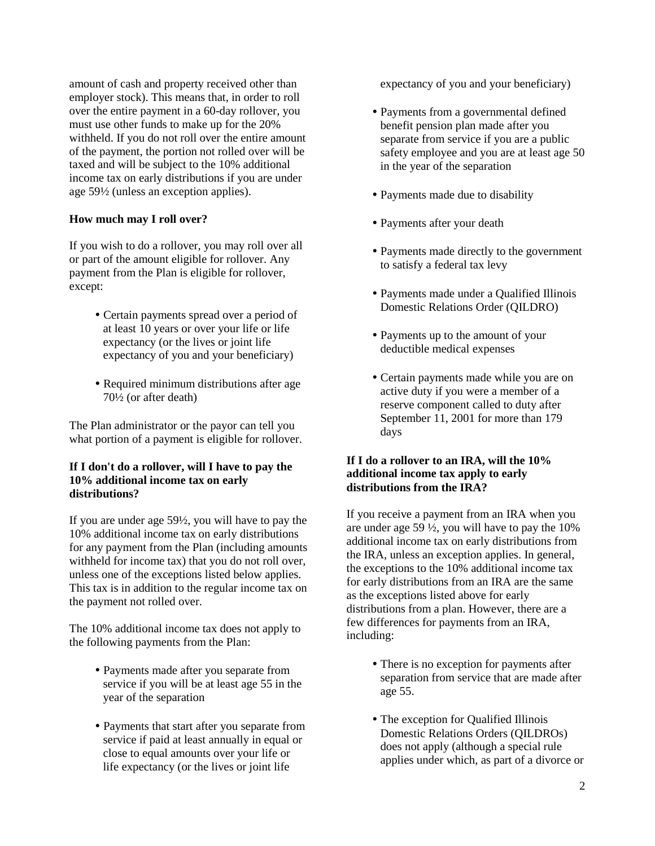amount of cash and property received other than employer stock). This means that, in order to roll over the entire payment in a 60-day rollover, you must use other funds to make up for the 20% withheld. If you do not roll over the entire amount of the payment, the portion not rolled over will be taxed and will be subject to the 10% additional income tax on early distributions if you are under age 59½ (unless an exception applies).

# **How much may I roll over?**

If you wish to do a rollover, you may roll over all or part of the amount eligible for rollover. Any payment from the Plan is eligible for rollover, except:

- Certain payments spread over a period of at least 10 years or over your life or life expectancy (or the lives or joint life expectancy of you and your beneficiary)
- Required minimum distributions after age 70½ (or after death)

The Plan administrator or the payor can tell you what portion of a payment is eligible for rollover.

### **If I don't do a rollover, will I have to pay the 10% additional income tax on early distributions?**

If you are under age 59½, you will have to pay the 10% additional income tax on early distributions for any payment from the Plan (including amounts withheld for income tax) that you do not roll over, unless one of the exceptions listed below applies. This tax is in addition to the regular income tax on the payment not rolled over.

The 10% additional income tax does not apply to the following payments from the Plan:

- Payments made after you separate from service if you will be at least age 55 in the year of the separation
- Payments that start after you separate from service if paid at least annually in equal or close to equal amounts over your life or life expectancy (or the lives or joint life

expectancy of you and your beneficiary)

- Payments from a governmental defined benefit pension plan made after you separate from service if you are a public safety employee and you are at least age 50 in the year of the separation
- Payments made due to disability
- Payments after your death
- Payments made directly to the government to satisfy a federal tax levy
- Payments made under a Qualified Illinois Domestic Relations Order (QILDRO)
- Payments up to the amount of your deductible medical expenses
- Certain payments made while you are on active duty if you were a member of a reserve component called to duty after September 11, 2001 for more than 179 days

### **If I do a rollover to an IRA, will the 10% additional income tax apply to early distributions from the IRA?**

If you receive a payment from an IRA when you are under age 59  $\frac{1}{2}$ , you will have to pay the 10% additional income tax on early distributions from the IRA, unless an exception applies. In general, the exceptions to the 10% additional income tax for early distributions from an IRA are the same as the exceptions listed above for early distributions from a plan. However, there are a few differences for payments from an IRA, including:

- There is no exception for payments after separation from service that are made after age 55.
- The exception for Qualified Illinois Domestic Relations Orders (QILDROs) does not apply (although a special rule applies under which, as part of a divorce or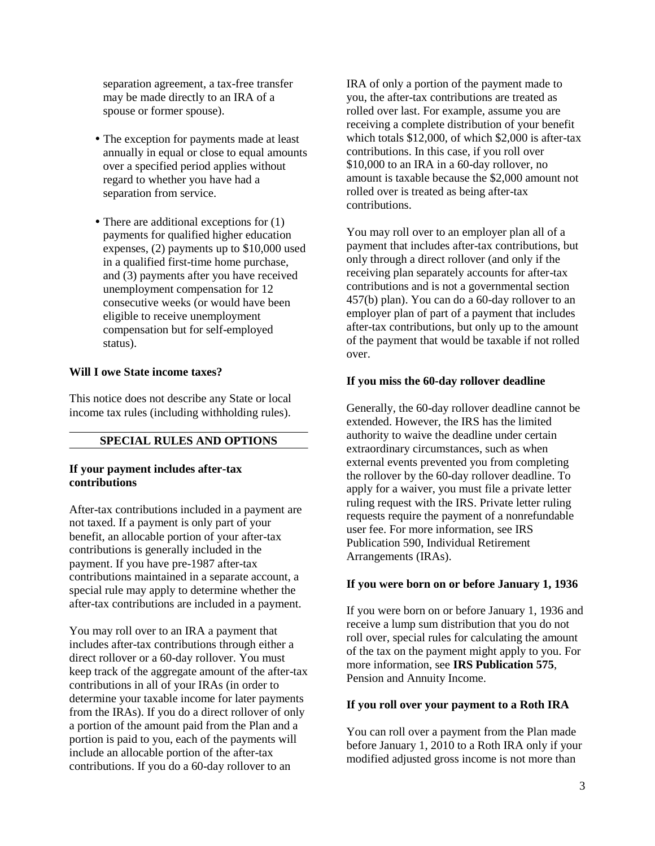separation agreement, a tax-free transfer may be made directly to an IRA of a spouse or former spouse).

- The exception for payments made at least annually in equal or close to equal amounts over a specified period applies without regard to whether you have had a separation from service.
- There are additional exceptions for  $(1)$ payments for qualified higher education expenses, (2) payments up to \$10,000 used in a qualified first-time home purchase, and (3) payments after you have received unemployment compensation for 12 consecutive weeks (or would have been eligible to receive unemployment compensation but for self-employed status).

#### **Will I owe State income taxes?**

This notice does not describe any State or local income tax rules (including withholding rules).

### **SPECIAL RULES AND OPTIONS**

#### **If your payment includes after-tax contributions**

After-tax contributions included in a payment are not taxed. If a payment is only part of your benefit, an allocable portion of your after-tax contributions is generally included in the payment. If you have pre-1987 after-tax contributions maintained in a separate account, a special rule may apply to determine whether the after-tax contributions are included in a payment.

You may roll over to an IRA a payment that includes after-tax contributions through either a direct rollover or a 60-day rollover. You must keep track of the aggregate amount of the after-tax contributions in all of your IRAs (in order to determine your taxable income for later payments from the IRAs). If you do a direct rollover of only a portion of the amount paid from the Plan and a portion is paid to you, each of the payments will include an allocable portion of the after-tax contributions. If you do a 60-day rollover to an

IRA of only a portion of the payment made to you, the after-tax contributions are treated as rolled over last. For example, assume you are receiving a complete distribution of your benefit which totals \$12,000, of which \$2,000 is after-tax contributions. In this case, if you roll over \$10,000 to an IRA in a 60-day rollover, no amount is taxable because the \$2,000 amount not rolled over is treated as being after-tax contributions.

You may roll over to an employer plan all of a payment that includes after-tax contributions, but only through a direct rollover (and only if the receiving plan separately accounts for after-tax contributions and is not a governmental section 457(b) plan). You can do a 60-day rollover to an employer plan of part of a payment that includes after-tax contributions, but only up to the amount of the payment that would be taxable if not rolled over.

#### **If you miss the 60-day rollover deadline**

Generally, the 60-day rollover deadline cannot be extended. However, the IRS has the limited authority to waive the deadline under certain extraordinary circumstances, such as when external events prevented you from completing the rollover by the 60-day rollover deadline. To apply for a waiver, you must file a private letter ruling request with the IRS. Private letter ruling requests require the payment of a nonrefundable user fee. For more information, see IRS Publication 590, Individual Retirement Arrangements (IRAs).

#### **If you were born on or before January 1, 1936**

If you were born on or before January 1, 1936 and receive a lump sum distribution that you do not roll over, special rules for calculating the amount of the tax on the payment might apply to you. For more information, see **IRS Publication 575**, Pension and Annuity Income.

### **If you roll over your payment to a Roth IRA**

You can roll over a payment from the Plan made before January 1, 2010 to a Roth IRA only if your modified adjusted gross income is not more than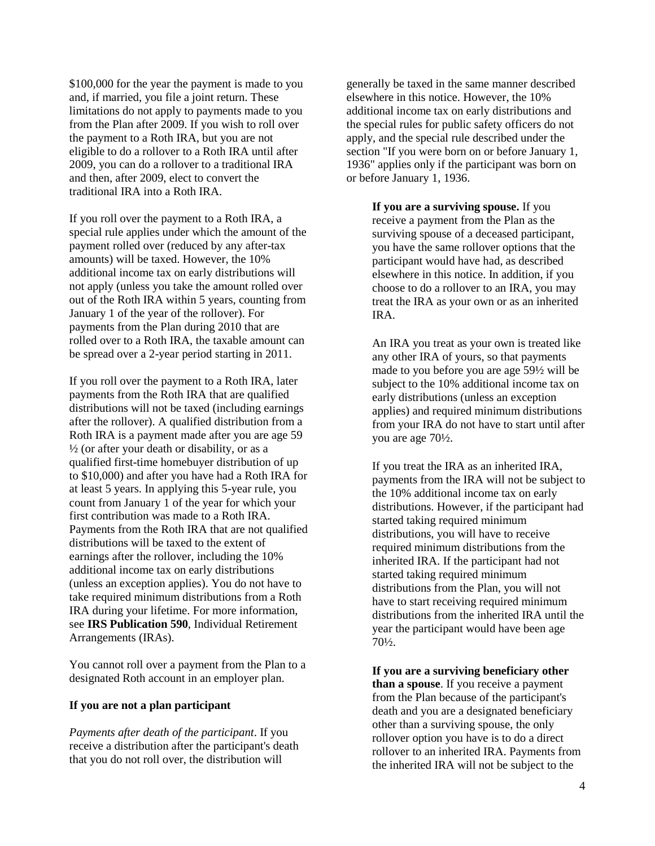\$100,000 for the year the payment is made to you and, if married, you file a joint return. These limitations do not apply to payments made to you from the Plan after 2009. If you wish to roll over the payment to a Roth IRA, but you are not eligible to do a rollover to a Roth IRA until after 2009, you can do a rollover to a traditional IRA and then, after 2009, elect to convert the traditional IRA into a Roth IRA.

If you roll over the payment to a Roth IRA, a special rule applies under which the amount of the payment rolled over (reduced by any after-tax amounts) will be taxed. However, the 10% additional income tax on early distributions will not apply (unless you take the amount rolled over out of the Roth IRA within 5 years, counting from January 1 of the year of the rollover). For payments from the Plan during 2010 that are rolled over to a Roth IRA, the taxable amount can be spread over a 2-year period starting in 2011.

If you roll over the payment to a Roth IRA, later payments from the Roth IRA that are qualified distributions will not be taxed (including earnings after the rollover). A qualified distribution from a Roth IRA is a payment made after you are age 59  $\frac{1}{2}$  (or after your death or disability, or as a qualified first-time homebuyer distribution of up to \$10,000) and after you have had a Roth IRA for at least 5 years. In applying this 5-year rule, you count from January 1 of the year for which your first contribution was made to a Roth IRA. Payments from the Roth IRA that are not qualified distributions will be taxed to the extent of earnings after the rollover, including the 10% additional income tax on early distributions (unless an exception applies). You do not have to take required minimum distributions from a Roth IRA during your lifetime. For more information, see **IRS Publication 590**, Individual Retirement Arrangements (IRAs).

You cannot roll over a payment from the Plan to a designated Roth account in an employer plan.

### **If you are not a plan participant**

*Payments after death of the participant*. If you receive a distribution after the participant's death that you do not roll over, the distribution will

generally be taxed in the same manner described elsewhere in this notice. However, the 10% additional income tax on early distributions and the special rules for public safety officers do not apply, and the special rule described under the section "If you were born on or before January 1, 1936" applies only if the participant was born on or before January 1, 1936.

> **If you are a surviving spouse.** If you receive a payment from the Plan as the surviving spouse of a deceased participant, you have the same rollover options that the participant would have had, as described elsewhere in this notice. In addition, if you choose to do a rollover to an IRA, you may treat the IRA as your own or as an inherited IRA.

An IRA you treat as your own is treated like any other IRA of yours, so that payments made to you before you are age 59½ will be subject to the 10% additional income tax on early distributions (unless an exception applies) and required minimum distributions from your IRA do not have to start until after you are age 70½.

If you treat the IRA as an inherited IRA, payments from the IRA will not be subject to the 10% additional income tax on early distributions. However, if the participant had started taking required minimum distributions, you will have to receive required minimum distributions from the inherited IRA. If the participant had not started taking required minimum distributions from the Plan, you will not have to start receiving required minimum distributions from the inherited IRA until the year the participant would have been age 70½.

**If you are a surviving beneficiary other than a spouse**. If you receive a payment from the Plan because of the participant's death and you are a designated beneficiary other than a surviving spouse, the only rollover option you have is to do a direct rollover to an inherited IRA. Payments from the inherited IRA will not be subject to the